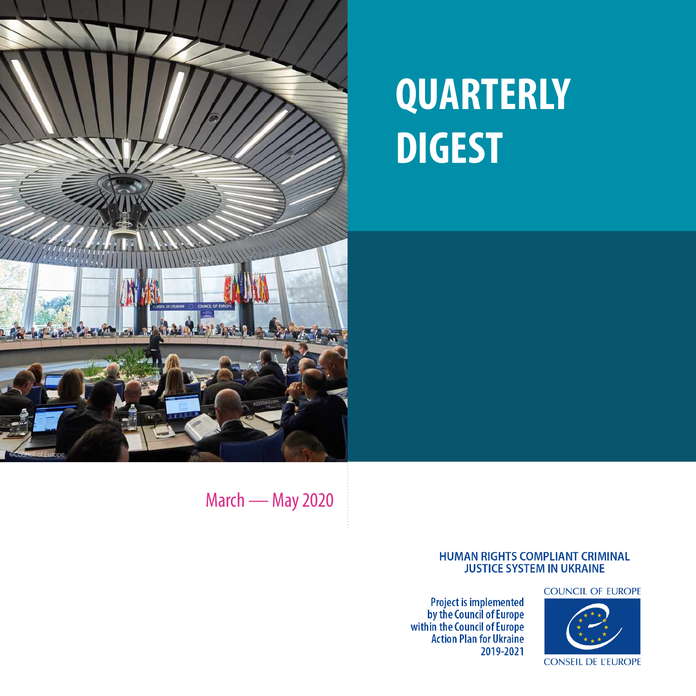

# **QUARTERLY DIGEST**

March — May 2020

#### **HUMAN RIGHTS COMPLIANT CRIMINAL JUSTICE SYSTEM IN UKRAINE**

**Project is implemented<br>by the Council of Europe<br>within the Council of Europe<br>Action Plan for Ukraine** 2019-2021

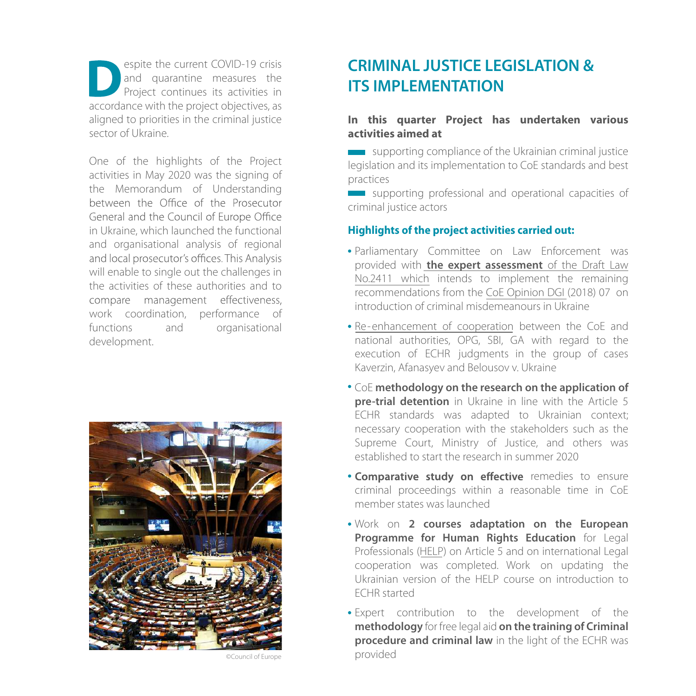espite the current COVID-19 crisis and quarantine measures the Project continues its activities in accordance with the project objectives, as aligned to priorities in the criminal justice sector of Ukraine.

One of the highlights of the Project activities in May 2020 was the signing of the Memorandum of Understanding between the Office of the Prosecutor General and the Council of Europe Office in Ukraine, which launched the functional and organisational analysis of regional and local prosecutor's offices. This Analysis will enable to single out the challenges in the activities of these authorities and to compare management effectiveness, work coordination, performance of functions and organisational development.



**CRIMINAL JUSTICE LEGISLATION & ITS IMPLEMENTATION**

#### **In this quarter Project has undertaken various activities aimed at**

supporting compliance of the Ukrainian criminal justice legislation and its implementation to CoE standards and best practices

supporting professional and operational capacities of criminal justice actors

### **Highlights of the project activities carried out:**

- Parliamentary Committee on Law Enforcement was provided with **the expert [assessment](https://rm.coe.int/en-coe-assessment-draft-law-no-2411/16809cfda4)** of the Draft Law No.2411 which intends to implement the remaining recommendations from the CoE [Opinion](https://rm.coe.int/coe-ukraine-law-on-misdemeanours-sept-2018-final-eng/16808eaeb0) DGI (2018) 07 on introduction of criminal misdemeanours in Ukraine
- Re-[enhancement](https://www.coe.int/en/web/kyiv/-/coordination-for-prompt-execution-of-european-court-of-human-rights-judgements) of cooperation between the CoE and national authorities, OPG, SBI, GA with regard to the execution of ECHR judgments in the group of cases Kaverzin, Afanasyev and Belousov v. Ukraine
- CoE **methodology on the research on the application of pre-trial detention** in Ukraine in line with the Article 5 ECHR standards was adapted to Ukrainian context; necessary cooperation with the stakeholders such as the Supreme Court, Ministry of Justice, and others was established to start the research in summer 2020
- . Comparative study on effective remedies to ensure criminal proceedings within a reasonable time in CoE member states was launched
- Work on **2 courses adaptation on the European Programme for Human Rights Education** for Legal Professionals [\(HELP\)](http://help.elearning.ext.coe.int/) on Article 5 and on international Legal cooperation was completed. Work on updating the Ukrainian version of the HELP course on introduction to ECHR started
- Expert contribution to the development of the **methodology** for free legal aid **on the training of Criminal procedure and criminal law** in the light of the ECHR was provided

©Council of Europe